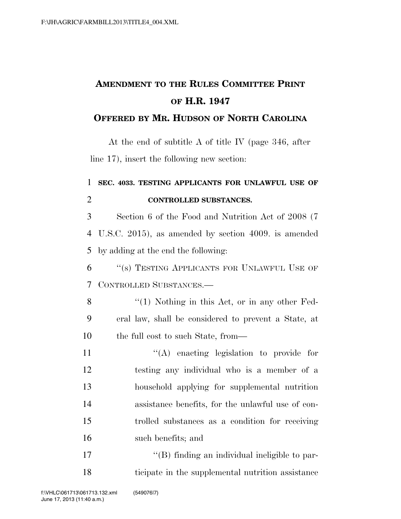## **AMENDMENT TO THE RULES COMMITTEE PRINT OF H.R. 1947**

## **OFFERED BY MR. HUDSON OF NORTH CAROLINA**

At the end of subtitle A of title IV (page 346, after line 17), insert the following new section:

## 1 **SEC. 4033. TESTING APPLICANTS FOR UNLAWFUL USE OF**  2 **CONTROLLED SUBSTANCES.**

3 Section 6 of the Food and Nutrition Act of 2008 (7 4 U.S.C. 2015), as amended by section 4009. is amended 5 by adding at the end the following:

6 ''(s) TESTING APPLICANTS FOR UNLAWFUL USE OF 7 CONTROLLED SUBSTANCES.—

8 "(1) Nothing in this Act, or in any other Fed-9 eral law, shall be considered to prevent a State, at 10 the full cost to such State, from—

 $\langle (A) \rangle$  enacting legislation to provide for testing any individual who is a member of a household applying for supplemental nutrition assistance benefits, for the unlawful use of con- trolled substances as a condition for receiving such benefits; and

17  $\langle$  (B) finding an individual ineligible to par-18 ticipate in the supplemental nutrition assistance